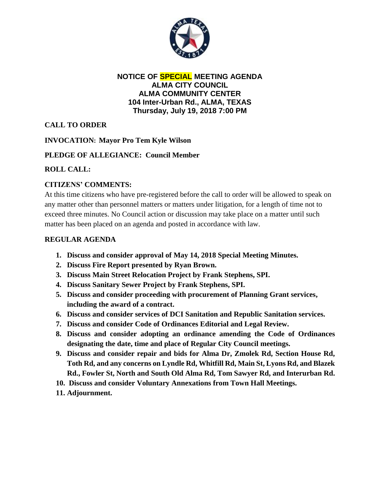

#### **NOTICE OF SPECIAL MEETING AGENDA ALMA CITY COUNCIL ALMA COMMUNITY CENTER 104 Inter-Urban Rd., ALMA, TEXAS Thursday, July 19, 2018 7:00 PM**

# **CALL TO ORDER**

# **INVOCATION: Mayor Pro Tem Kyle Wilson**

## **PLEDGE OF ALLEGIANCE: Council Member**

## **ROLL CALL:**

# **CITIZENS' COMMENTS:**

At this time citizens who have pre-registered before the call to order will be allowed to speak on any matter other than personnel matters or matters under litigation, for a length of time not to exceed three minutes. No Council action or discussion may take place on a matter until such matter has been placed on an agenda and posted in accordance with law.

#### **REGULAR AGENDA**

- **1. Discuss and consider approval of May 14, 2018 Special Meeting Minutes.**
- **2. Discuss Fire Report presented by Ryan Brown.**
- **3. Discuss Main Street Relocation Project by Frank Stephens, SPI.**
- **4. Discuss Sanitary Sewer Project by Frank Stephens, SPI.**
- **5. Discuss and consider proceeding with procurement of Planning Grant services, including the award of a contract.**
- **6. Discuss and consider services of DCI Sanitation and Republic Sanitation services.**
- **7. Discuss and consider Code of Ordinances Editorial and Legal Review.**
- **8. Discuss and consider adopting an ordinance amending the Code of Ordinances designating the date, time and place of Regular City Council meetings.**
- **9. Discuss and consider repair and bids for Alma Dr, Zmolek Rd, Section House Rd, Toth Rd, and any concerns on Lyndle Rd, Whitfill Rd, Main St, Lyons Rd, and Blazek Rd., Fowler St, North and South Old Alma Rd, Tom Sawyer Rd, and Interurban Rd.**
- **10. Discuss and consider Voluntary Annexations from Town Hall Meetings.**
- **11. Adjournment.**